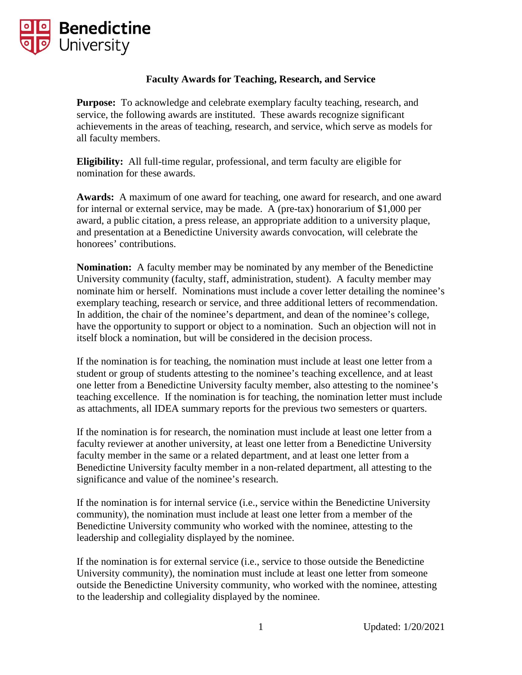

## **Faculty Awards for Teaching, Research, and Service**

**Purpose:** To acknowledge and celebrate exemplary faculty teaching, research, and service, the following awards are instituted. These awards recognize significant achievements in the areas of teaching, research, and service, which serve as models for all faculty members.

**Eligibility:** All full-time regular, professional, and term faculty are eligible for nomination for these awards.

**Awards:** A maximum of one award for teaching, one award for research, and one award for internal or external service, may be made. A (pre-tax) honorarium of \$1,000 per award, a public citation, a press release, an appropriate addition to a university plaque, and presentation at a Benedictine University awards convocation, will celebrate the honorees' contributions.

**Nomination:** A faculty member may be nominated by any member of the Benedictine University community (faculty, staff, administration, student). A faculty member may nominate him or herself. Nominations must include a cover letter detailing the nominee's exemplary teaching, research or service, and three additional letters of recommendation. In addition, the chair of the nominee's department, and dean of the nominee's college, have the opportunity to support or object to a nomination. Such an objection will not in itself block a nomination, but will be considered in the decision process.

If the nomination is for teaching, the nomination must include at least one letter from a student or group of students attesting to the nominee's teaching excellence, and at least one letter from a Benedictine University faculty member, also attesting to the nominee's teaching excellence. If the nomination is for teaching, the nomination letter must include as attachments, all IDEA summary reports for the previous two semesters or quarters.

If the nomination is for research, the nomination must include at least one letter from a faculty reviewer at another university, at least one letter from a Benedictine University faculty member in the same or a related department, and at least one letter from a Benedictine University faculty member in a non-related department, all attesting to the significance and value of the nominee's research.

If the nomination is for internal service (i.e., service within the Benedictine University community), the nomination must include at least one letter from a member of the Benedictine University community who worked with the nominee, attesting to the leadership and collegiality displayed by the nominee.

If the nomination is for external service (i.e., service to those outside the Benedictine University community), the nomination must include at least one letter from someone outside the Benedictine University community, who worked with the nominee, attesting to the leadership and collegiality displayed by the nominee.